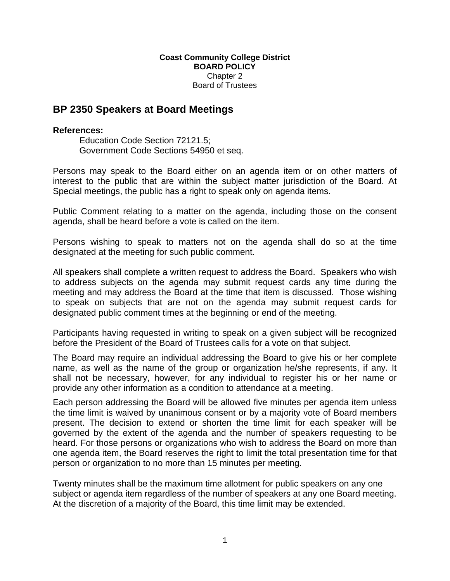## **Coast Community College District BOARD POLICY**  Chapter 2 Board of Trustees

## **BP 2350 Speakers at Board Meetings**

## **References:**

Education Code Section 72121.5; Government Code Sections 54950 et seq.

Persons may speak to the Board either on an agenda item or on other matters of interest to the public that are within the subject matter jurisdiction of the Board. At Special meetings, the public has a right to speak only on agenda items.

Public Comment relating to a matter on the agenda, including those on the consent agenda, shall be heard before a vote is called on the item.

Persons wishing to speak to matters not on the agenda shall do so at the time designated at the meeting for such public comment.

All speakers shall complete a written request to address the Board. Speakers who wish to address subjects on the agenda may submit request cards any time during the meeting and may address the Board at the time that item is discussed. Those wishing to speak on subjects that are not on the agenda may submit request cards for designated public comment times at the beginning or end of the meeting.

Participants having requested in writing to speak on a given subject will be recognized before the President of the Board of Trustees calls for a vote on that subject.

The Board may require an individual addressing the Board to give his or her complete name, as well as the name of the group or organization he/she represents, if any. It shall not be necessary, however, for any individual to register his or her name or provide any other information as a condition to attendance at a meeting.

Each person addressing the Board will be allowed five minutes per agenda item unless the time limit is waived by unanimous consent or by a majority vote of Board members present. The decision to extend or shorten the time limit for each speaker will be governed by the extent of the agenda and the number of speakers requesting to be heard. For those persons or organizations who wish to address the Board on more than one agenda item, the Board reserves the right to limit the total presentation time for that person or organization to no more than 15 minutes per meeting.

Twenty minutes shall be the maximum time allotment for public speakers on any one subject or agenda item regardless of the number of speakers at any one Board meeting. At the discretion of a majority of the Board, this time limit may be extended.